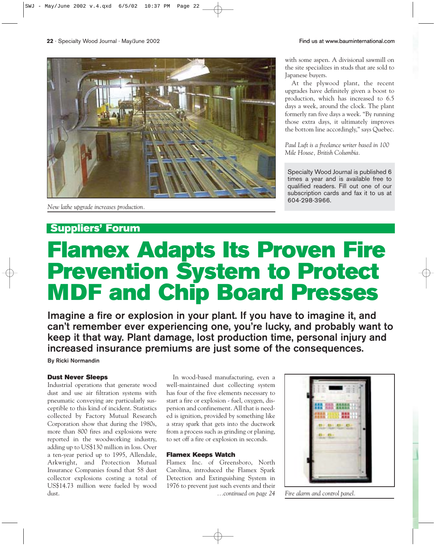## **Suppliers' Forum**

# **Flamex Adapts Its Proven Fire Prevention System to Protect MDF and Chip Board Presses**

**Imagine a fire or explosion in your plant. If you have to imagine it, and can't remember ever experiencing one, you're lucky, and probably want to keep it that way. Plant damage, lost production time, personal injury and increased insurance premiums are just some of the consequences.** 

**By Ricki Normandin**

#### **Dust Never Sleeps**

Industrial operations that generate wood dust and use air filtration systems with pneumatic conveying are particularly susceptible to this kind of incident. Statistics collected by Factory Mutual Research Corporation show that during the 1980s, more than 800 fires and explosions were reported in the woodworking industry, adding up to US\$130 million in loss. Over a ten-year period up to 1995, Allendale, Arkwright, and Protection Mutual Insurance Companies found that 58 dust collector explosions costing a total of US\$14.73 million were fueled by wood dust.

In wood-based manufacturing, even a well-maintained dust collecting system has four of the five elements necessary to start a fire or explosion - fuel, oxygen, dispersion and confinement. All that is needed is ignition, provided by something like a stray spark that gets into the ductwork from a process such as grinding or planing, to set off a fire or explosion in seconds.

#### **Flamex Keeps Watch**

Flamex Inc. of Greensboro, North Carolina, introduced the Flamex Spark Detection and Extinguishing System in 1976 to prevent just such events and their



*…continued on page 24 Fire alarm and control panel.*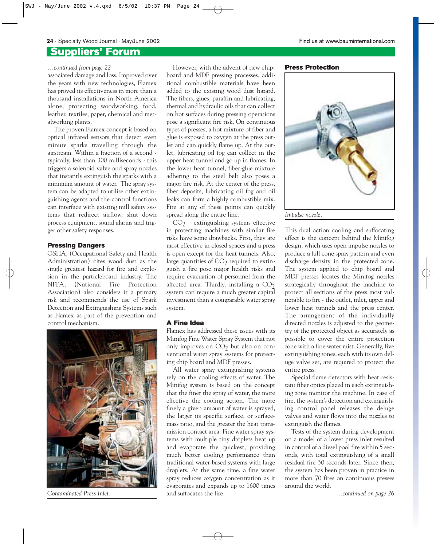#### **Suppliers' Forum**

associated damage and loss. Improved over the years with new technologies, Flamex has proved its effectiveness in more than a thousand installations in North America alone, protecting woodworking, food, leather, textiles, paper, chemical and metalworking plants.

The proven Flamex concept is based on optical infrared sensors that detect even minute sparks travelling through the airstream. Within a fraction of a second typically, less than 300 milliseconds - this triggers a solenoid valve and spray nozzles that instantly extinguish the sparks with a minimum amount of water. The spray system can be adapted to utilize other extinguishing agents and the control functions can interface with existing mill safety systems that redirect airflow, shut down process equipment, sound alarms and trigger other safety responses.

#### **Pressing Dangers**

OSHA, (Occupational Safety and Health Administration) cites wood dust as the single greatest hazard for fire and explosion in the particleboard industry. The NFPA, (National Fire Protection Association) also considers it a primary risk and recommends the use of Spark Detection and Extinguishing Systems such as Flamex as part of the prevention and control mechanism.



*Contaminated Press Inlet.*

...continued from page 22 **Press Protection Press Protection Press Protection** board and MDF pressing processes, additional combustible materials have been added to the existing wood dust hazard. The fibers, glues, paraffin and lubricating, thermal and hydraulic oils that can collect on hot surfaces during pressing operations pose a significant fire risk. On continuous types of presses, a hot mixture of fiber and glue is exposed to oxygen at the press outlet and can quickly flame up. At the outlet, lubricating oil fog can collect in the upper heat tunnel and go up in flames. In the lower heat tunnel, fiber-glue mixture adhering to the steel belt also poses a major fire risk. At the center of the press, fiber deposits, lubricating oil fog and oil leaks can form a highly combustible mix. Fire at any of these points can quickly spread along the entire line.

 $CO<sub>2</sub>$  extinguishing systems effective in protecting machines with similar fire risks have some drawbacks. First, they are most effective in closed spaces and a press is open except for the heat tunnels. Also, large quantities of  $CO<sub>2</sub>$  required to extinguish a fire pose major health risks and require evacuation of personnel from the affected area. Thirdly, installing a  $CO<sub>2</sub>$ system can require a much greater capital investment than a comparable water spray system.

#### **A Fine Idea**

Flamex has addressed these issues with its Minifog Fine Water Spray System that not only improves on  $CO<sub>2</sub>$  but also on conventional water spray systems for protecting chip board and MDF presses.

All water spray extinguishing systems rely on the cooling effects of water. The Minifog system is based on the concept that the finer the spray of water, the more effective the cooling action. The more finely a given amount of water is sprayed, the larger its specific surface, or surfacemass ratio, and the greater the heat transmission contact area. Fine water spray systems with multiple tiny droplets heat up and evaporate the quickest, providing much better cooling performance than traditional water-based systems with large droplets. At the same time, a fine water spray reduces oxygen concentration as it evaporates and expands up to 1600 times and suffocates the fire.



This dual action cooling and suffocating effect is the concept behind the Minifog design, which uses open impulse nozzles to produce a full cone spray pattern and even discharge density in the protected zone. The system applied to chip board and MDF presses locates the Minifog nozzles strategically throughout the machine to protect all sections of the press most vulnerable to fire - the outlet, inlet, upper and lower heat tunnels and the press center. The arrangement of the individually directed nozzles is adjusted to the geometry of the protected object as accurately as possible to cover the entire protection zone with a fine water mist. Generally, five extinguishing zones, each with its own deluge valve set, are required to protect the entire press.

Special flame detectors with heat resistant fiber optics placed in each extinguishing zone monitor the machine. In case of fire, the system's detection and extinguishing control panel releases the deluge valves and water flows into the nozzles to extinguish the flames.

Tests of the system during development on a model of a lower press inlet resulted in control of a diesel pool fire within 5 seconds, with total extinguishing of a small residual fire 30 seconds later. Since then, the system has been proven in practice in more than 70 fires on continuous presses around the world.